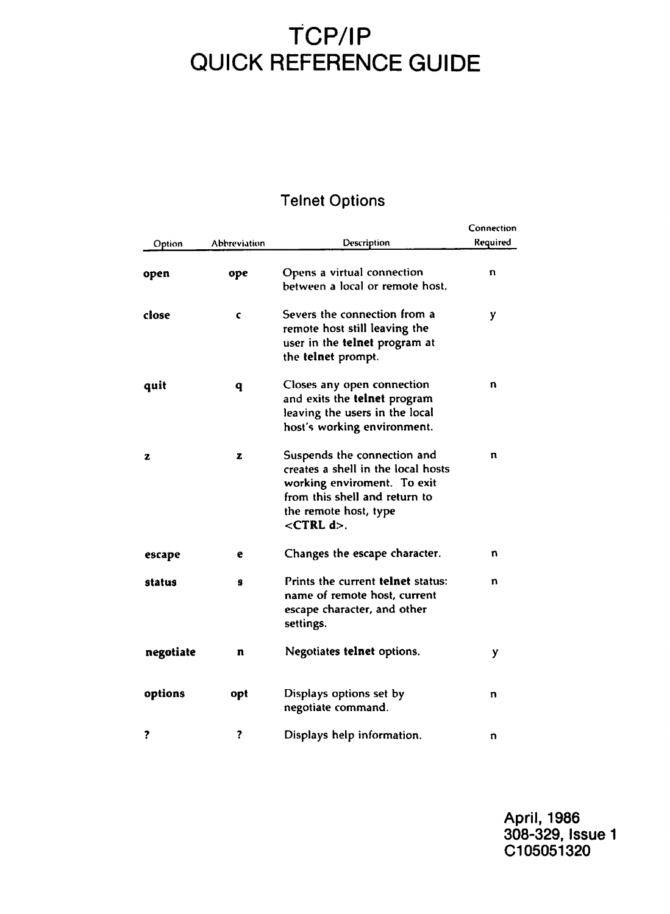# **TCP/IP QUICK REFERENCE GUIDE**

### Telnet Options

| Option    | Abbreviation | Description                                                                                                                                                                      | Connection<br>Reguired |
|-----------|--------------|----------------------------------------------------------------------------------------------------------------------------------------------------------------------------------|------------------------|
| open      | ope          | Opens a virtual connection<br>between a local or remote host.                                                                                                                    | n                      |
| close     | c            | Severs the connection from a<br>remote host still leaving the<br>user in the <b>telnet</b> program at<br>the telnet prompt.                                                      | y                      |
| quit      | q            | Closes any open connection<br>and exits the telnet program<br>leaving the users in the local<br>host's working environment.                                                      | n                      |
| z         | z            | Suspends the connection and<br>creates a shell in the local hosts<br>working enviroment. To exit<br>from this shell and return to<br>the remote host, type<br>$<$ CTRL $d$ $>$ . | n                      |
| escape    | e            | Changes the escape character.                                                                                                                                                    | n                      |
| status    | 8            | Prints the current telnet status:<br>name of remote host, current<br>escape character, and other<br>settings.                                                                    | n                      |
| negotiate | n            | Negotiates telnet options.                                                                                                                                                       | y                      |
| options   | opt          | Displays options set by<br>negotiate command.                                                                                                                                    | n                      |
| ?         | ?            | Displays help information.                                                                                                                                                       | n                      |

April, 1986 308-329, Issue 1 C105051320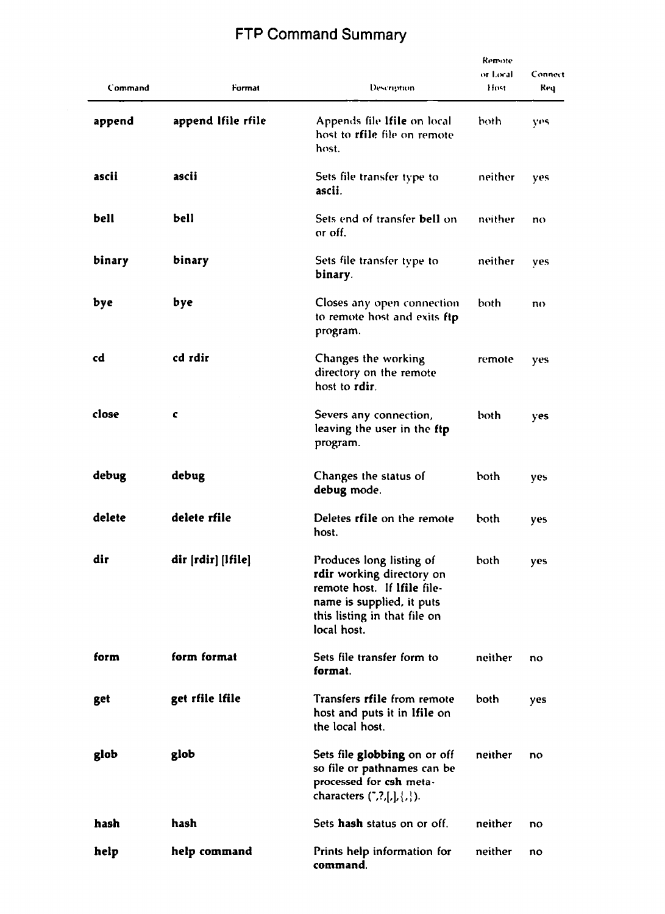## FTP Command Summary

| Command | Format             | Description                                                                                                                                                      | Remote<br>or Local<br>Host | Connect<br>Req |
|---------|--------------------|------------------------------------------------------------------------------------------------------------------------------------------------------------------|----------------------------|----------------|
| append  | append Ifile rfile | Appends file Ifile on local<br>host to <b>rfile</b> file on remote<br>host.                                                                                      | both                       | yes            |
| ascii   | ascii              | Sets file transfer type to<br>ascii.                                                                                                                             | neither                    | yes            |
| bell    | bell               | Sets end of transfer bell on<br>or off.                                                                                                                          | neither                    | no             |
| binary  | binary             | Sets file transfer type to<br>binary.                                                                                                                            | neither                    | yes            |
| bye     | bye                | Closes any open connection<br>to remote host and exits ftp<br>program.                                                                                           | both                       | no             |
| cd      | cd rdir            | Changes the working<br>directory on the remote<br>host to rdir.                                                                                                  | remote                     | yes            |
| close   | c                  | Severs any connection,<br>leaving the user in the ftp<br>program.                                                                                                | both                       | yes            |
| debug   | debug              | Changes the status of<br>debug mode.                                                                                                                             | both                       | yes            |
| delete  | delete rfile       | Deletes rfile on the remote<br>host.                                                                                                                             | both                       | yes            |
| dir     | dir [rdir] [Ifile] | Produces long listing of<br>rdir working directory on<br>remote host. If Ifile file-<br>name is supplied, it puts<br>this listing in that file on<br>local host. | both                       | yes            |
| form    | form format        | Sets file transfer form to<br>format.                                                                                                                            | neither                    | no             |
| get     | get rfile lfile    | Transfers rfile from remote<br>host and puts it in Ifile on<br>the local host.                                                                                   | both                       | yes            |
| glob    | glob               | Sets file globbing on or off<br>so file or pathnames can be<br>processed for csh meta-<br>characters (",?,[,], {,}).                                             | neither                    | no             |
| hash    | hash               | Sets hash status on or off.                                                                                                                                      | neither                    | no             |
| help    | help command       | Prints help information for<br>command.                                                                                                                          | neither                    | no             |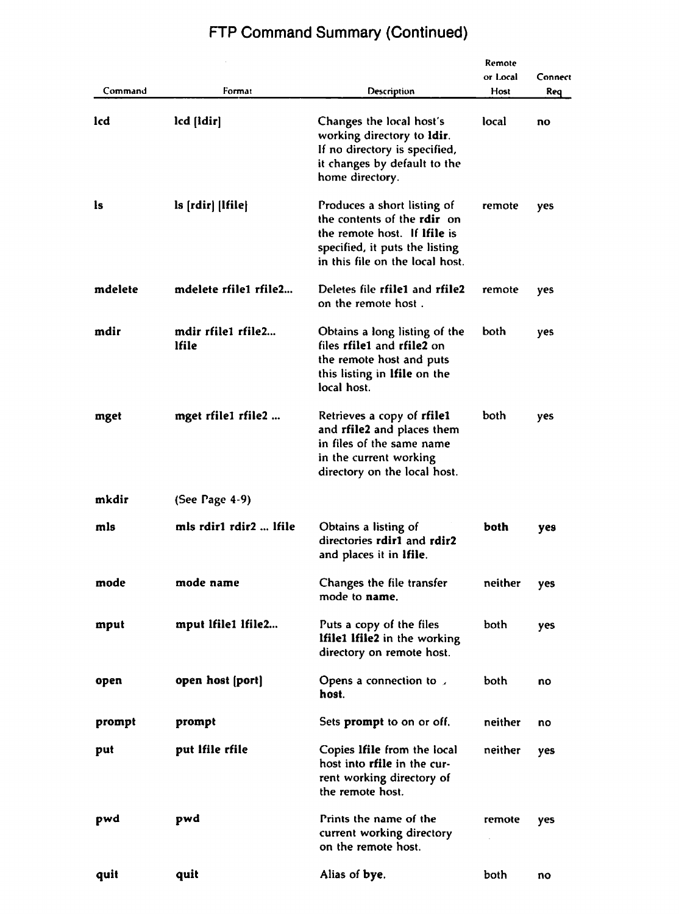| Command | Format                      | Description                                                                                                                                                            | Remote<br>or Local<br>Host | Connect<br>Req |
|---------|-----------------------------|------------------------------------------------------------------------------------------------------------------------------------------------------------------------|----------------------------|----------------|
| lcd     | lcd [Idir]                  | Changes the local host's<br>working directory to <b>ldir</b> .<br>If no directory is specified,<br>it changes by default to the<br>home directory.                     | local                      | no             |
| ls      | ls [rdir] [Ifile]           | Produces a short listing of<br>the contents of the rdir on<br>the remote host. If <b>Ifile</b> is<br>specified, it puts the listing<br>in this file on the local host. | remote                     | yes            |
| mdelete | mdelete rfile1 rfile2       | Deletes file rfile1 and rfile2<br>on the remote host.                                                                                                                  | remote                     | yes            |
| mdir    | mdir rfile1 rfile2<br>lfile | Obtains a long listing of the<br>files rfile1 and rfile2 on<br>the remote host and puts<br>this listing in Ifile on the<br>local host.                                 | both                       | yes            |
| mget    | mget rfile1 rfile2          | Retrieves a copy of rfilel<br>and rfile2 and places them<br>in files of the same name<br>in the current working<br>directory on the local host.                        | both                       | yes            |
| mkdir   | (See Page 4-9)              |                                                                                                                                                                        |                            |                |
| mls     | mls rdir1 rdir2  lfile      | Obtains a listing of<br>directories rdir1 and rdir2<br>and places it in Ifile.                                                                                         | both                       | yes            |
| mode    | mode name                   | Changes the file transfer<br>mode to name.                                                                                                                             | neither                    | yes            |
| mput    | mput Ifile1 Ifile2          | Puts a copy of the files<br><b>Ifile1 Ifile2</b> in the working<br>directory on remote host.                                                                           | both                       | yes            |
| open    | open host (port)            | Opens a connection to $\sqrt{ }$<br>host.                                                                                                                              | both                       | no             |
| prompt  | prompt                      | Sets <b>prompt</b> to on or off.                                                                                                                                       | neither                    | no             |
| put     | put Ifile rfile             | Copies Ifile from the local<br>host into rfile in the cur-<br>rent working directory of<br>the remote host.                                                            | neither                    | ves            |
| pwd     | pwd                         | Prints the name of the<br>current working directory<br>on the remote host.                                                                                             | remote                     | yes            |
| quit    | quit                        | Alias of bye.                                                                                                                                                          | both                       | no             |

# FTP Command Summary (Continued)